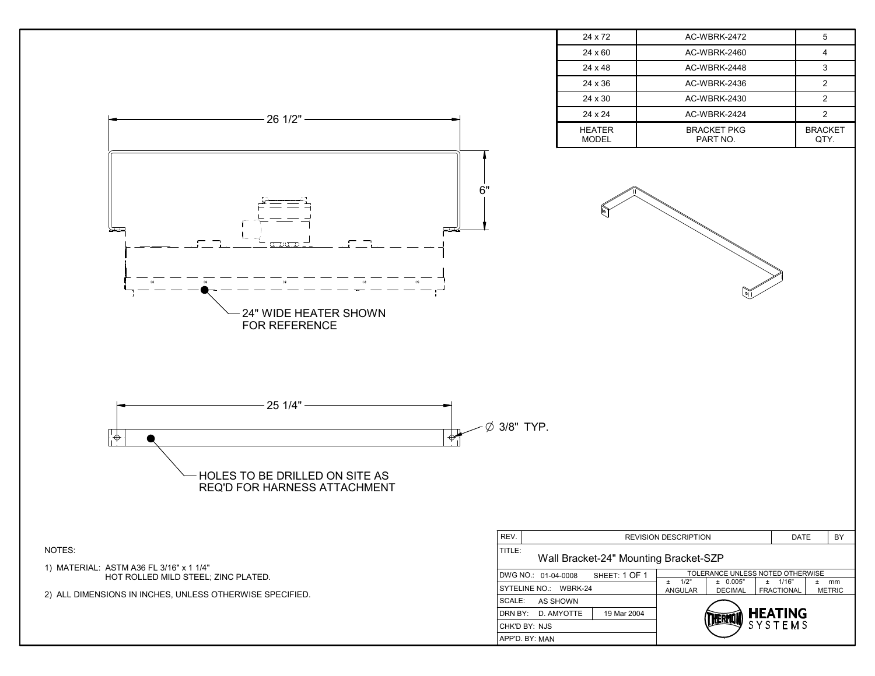|                                                                                 |                                              | 24 x 72                       | AC-WBRK-2472                                                                        | 5                                  |    |
|---------------------------------------------------------------------------------|----------------------------------------------|-------------------------------|-------------------------------------------------------------------------------------|------------------------------------|----|
|                                                                                 |                                              | 24 x 60                       | AC-WBRK-2460                                                                        | $\overline{4}$                     |    |
|                                                                                 |                                              | 24 x 48                       | AC-WBRK-2448                                                                        | $\mathbf{3}$                       |    |
|                                                                                 |                                              | 24 x 36                       | AC-WBRK-2436                                                                        | $\overline{2}$                     |    |
|                                                                                 |                                              | 24 x 30                       | AC-WBRK-2430                                                                        | $\overline{2}$                     |    |
| 26 1/2"                                                                         |                                              | 24 x 24                       | AC-WBRK-2424                                                                        | $\overline{2}$                     |    |
|                                                                                 |                                              | <b>HEATER</b><br><b>MODEL</b> | <b>BRACKET PKG</b><br>PART NO.                                                      | <b>BRACKET</b><br>QTY.             |    |
| 6"<br>24" WIDE HEATER SHOWN<br>FOR REFERENCE                                    |                                              |                               |                                                                                     |                                    |    |
| 25 1/4"<br>┞╋<br>HOLES TO BE DRILLED ON SITE AS<br>REQ'D FOR HARNESS ATTACHMENT | Ø 3/8" TYP.                                  |                               |                                                                                     |                                    |    |
| NOTES:                                                                          | REV.<br>TITLE:                               |                               | <b>REVISION DESCRIPTION</b>                                                         | DATE                               | BY |
| 1) MATERIAL: ASTM A36 FL 3/16" x 1 1/4"<br>HOT ROLLED MILD STEEL; ZINC PLATED.  | Wall Bracket-24" Mounting Bracket-SZP        |                               |                                                                                     |                                    |    |
|                                                                                 | DWG NO.: 01-04-0008<br>SYTELINE NO.: WBRK-24 | SHEET: 1 OF 1                 | TOLERANCE UNLESS NOTED OTHERWISE<br>$\pm$ 1/2 $^{\circ}$<br>± 0.005"<br>$\pm$ 1/16" | $±$ mm                             |    |
| 2) ALL DIMENSIONS IN INCHES, UNLESS OTHERWISE SPECIFIED.                        | SCALE: AS SHOWN                              |                               | ANGULAR<br><b>DECIMAL</b>                                                           | <b>FRACTIONAL</b><br><b>METRIC</b> |    |
|                                                                                 | DRN BY: D. AMYOTTE                           | 19 Mar 2004                   |                                                                                     |                                    |    |
|                                                                                 | CHK'D BY: NJS                                |                               | HEATING<br>SYSTEMS<br>ERMU                                                          |                                    |    |
|                                                                                 | APP'D. BY: MAN                               |                               |                                                                                     |                                    |    |